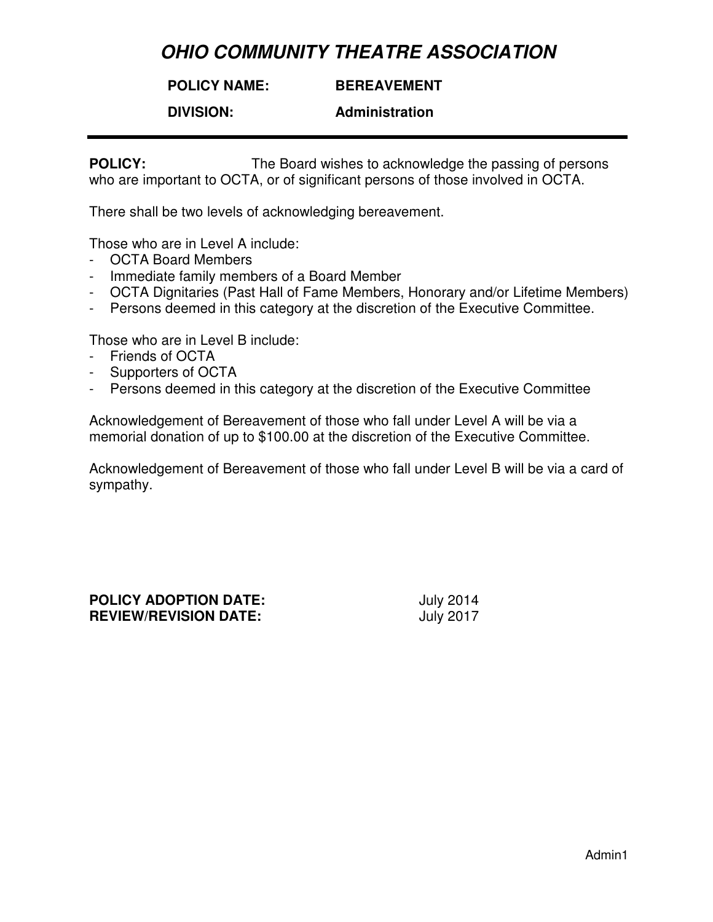**POLICY NAME:**

**BEREAVEMENT** 

**DIVISION:** 

**Administration** 

**POLICY:** The Board wishes to acknowledge the passing of persons who are important to OCTA, or of significant persons of those involved in OCTA.

There shall be two levels of acknowledging bereavement.

Those who are in Level A include:

- OCTA Board Members
- Immediate family members of a Board Member
- OCTA Dignitaries (Past Hall of Fame Members, Honorary and/or Lifetime Members)
- Persons deemed in this category at the discretion of the Executive Committee.

Those who are in Level B include:

- Friends of OCTA
- Supporters of OCTA
- Persons deemed in this category at the discretion of the Executive Committee

Acknowledgement of Bereavement of those who fall under Level A will be via a memorial donation of up to \$100.00 at the discretion of the Executive Committee.

Acknowledgement of Bereavement of those who fall under Level B will be via a card of sympathy.

**POLICY ADOPTION DATE:** July 2014 **REVIEW/REVISION DATE:** July 2017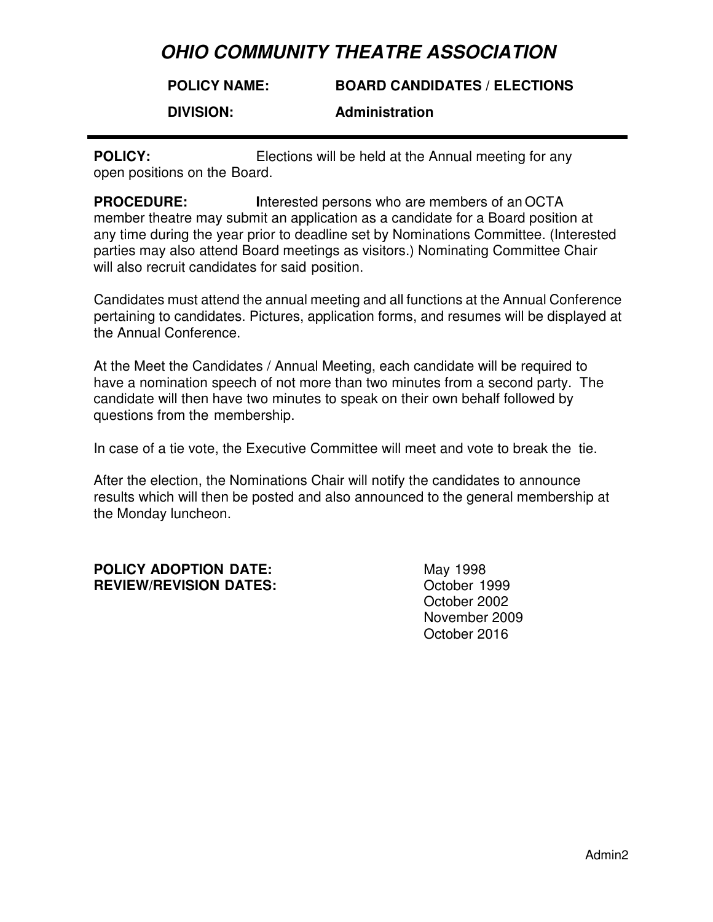#### **POLICY NAME: BOARD CANDIDATES / ELECTIONS**

**DIVISION:** 

### **Administration**

**POLICY:** Elections will be held at the Annual meeting for any open positions on the Board.

**PROCEDURE: I**nterested persons who are members of an OCTA member theatre may submit an application as a candidate for a Board position at any time during the year prior to deadline set by Nominations Committee. (Interested parties may also attend Board meetings as visitors.) Nominating Committee Chair will also recruit candidates for said position.

Candidates must attend the annual meeting and all functions at the Annual Conference pertaining to candidates. Pictures, application forms, and resumes will be displayed at the Annual Conference.

At the Meet the Candidates / Annual Meeting, each candidate will be required to have a nomination speech of not more than two minutes from a second party. The candidate will then have two minutes to speak on their own behalf followed by questions from the membership.

In case of a tie vote, the Executive Committee will meet and vote to break the tie.

After the election, the Nominations Chair will notify the candidates to announce results which will then be posted and also announced to the general membership at the Monday luncheon.

### **POLICY ADOPTION DATE:** May 1998 **REVIEW/REVISION DATES:** October 1999

October 2002 November 2009 October 2016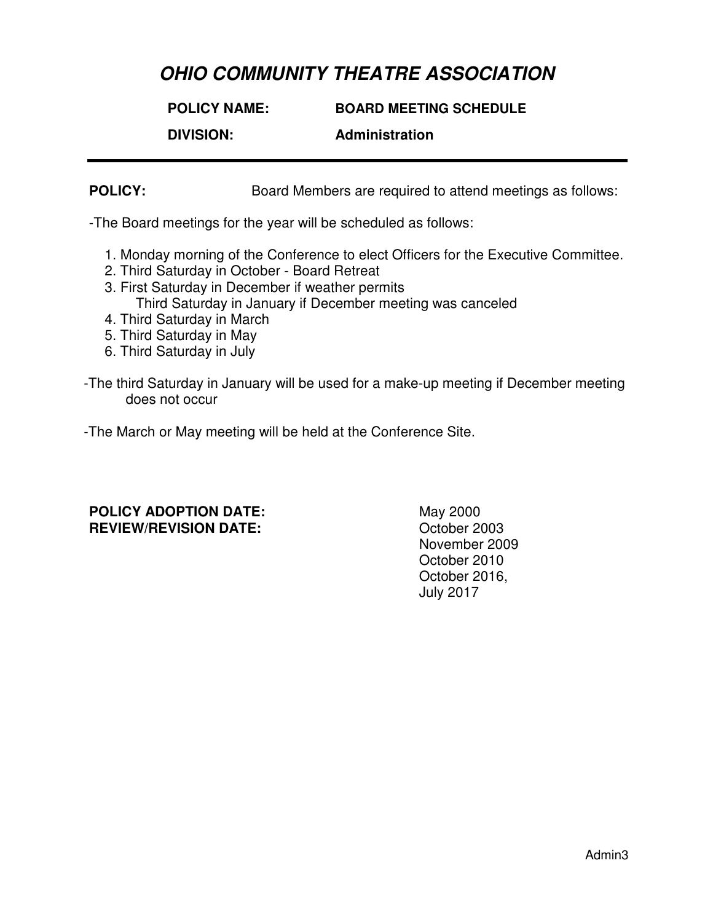**POLICY NAME: BOARD MEETING SCHEDULE DIVISION: Administration**

**POLICY:** Board Members are required to attend meetings as follows:

-The Board meetings for the year will be scheduled as follows:

- 1. Monday morning of the Conference to elect Officers for the Executive Committee.
- 2. Third Saturday in October Board Retreat
- 3. First Saturday in December if weather permits Third Saturday in January if December meeting was canceled
- 4. Third Saturday in March
- 5. Third Saturday in May
- 6. Third Saturday in July
- -The third Saturday in January will be used for a make-up meeting if December meeting does not occur

-The March or May meeting will be held at the Conference Site.

### **POLICY ADOPTION DATE:** May 2000 **REVIEW/REVISION DATE:** October 2003

 November 2009 October 2010 October 2016, July 2017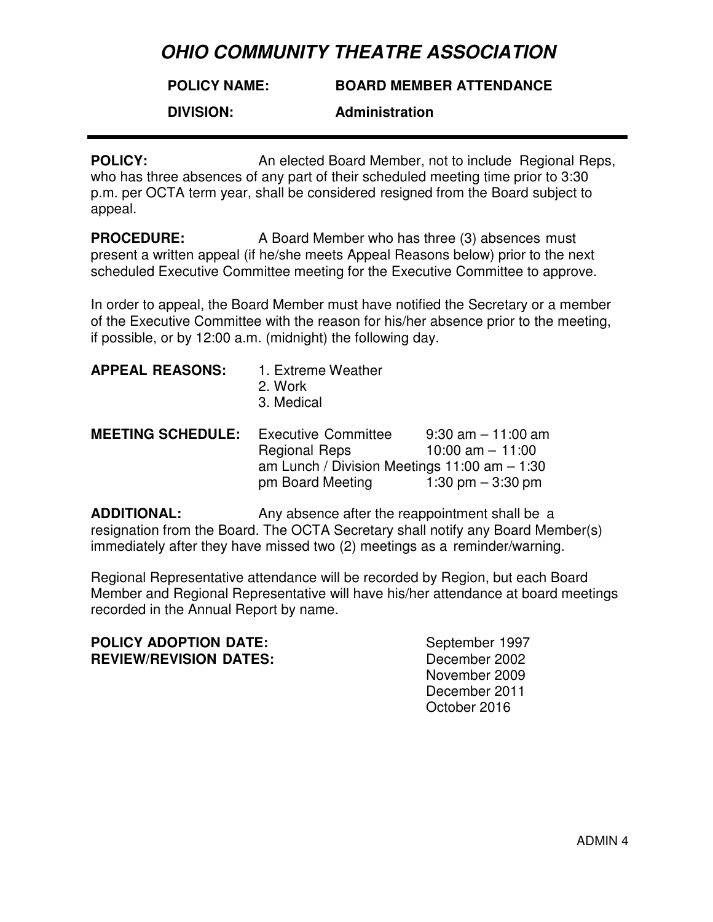#### **POLICY NAME: BOARD MEMBER ATTENDANCE**

**DIVISION:** 

### **Administration**

**POLICY:** An elected Board Member, not to include Regional Reps, who has three absences of any part of their scheduled meeting time prior to 3:30 p.m. per OCTA term year, shall be considered resigned from the Board subject to appeal.

**PROCEDURE:** A Board Member who has three (3) absences must present a written appeal (if he/she meets Appeal Reasons below) prior to the next scheduled Executive Committee meeting for the Executive Committee to approve.

In order to appeal, the Board Member must have notified the Secretary or a member of the Executive Committee with the reason for his/her absence prior to the meeting, if possible, or by 12:00 a.m. (midnight) the following day.

| 1. Extreme Weather<br>2. Work<br>3. Medical                                    |                                                                     |
|--------------------------------------------------------------------------------|---------------------------------------------------------------------|
| <b>MEETING SCHEDULE:</b><br><b>Executive Committee</b><br><b>Regional Reps</b> | $9:30$ am $-11:00$ am<br>10:00 am $-$ 11:00                         |
|                                                                                | 1:30 pm $-$ 3:30 pm                                                 |
|                                                                                | am Lunch / Division Meetings $11:00$ am $-1:30$<br>pm Board Meeting |

**ADDITIONAL:** Any absence after the reappointment shall be a resignation from the Board. The OCTA Secretary shall notify any Board Member(s) immediately after they have missed two (2) meetings as a reminder/warning.

Regional Representative attendance will be recorded by Region, but each Board Member and Regional Representative will have his/her attendance at board meetings recorded in the Annual Report by name.

## **POLICY ADOPTION DATE:** September 1997 **REVIEW/REVISION DATES:** December 2002

November 2009 December 2011 October 2016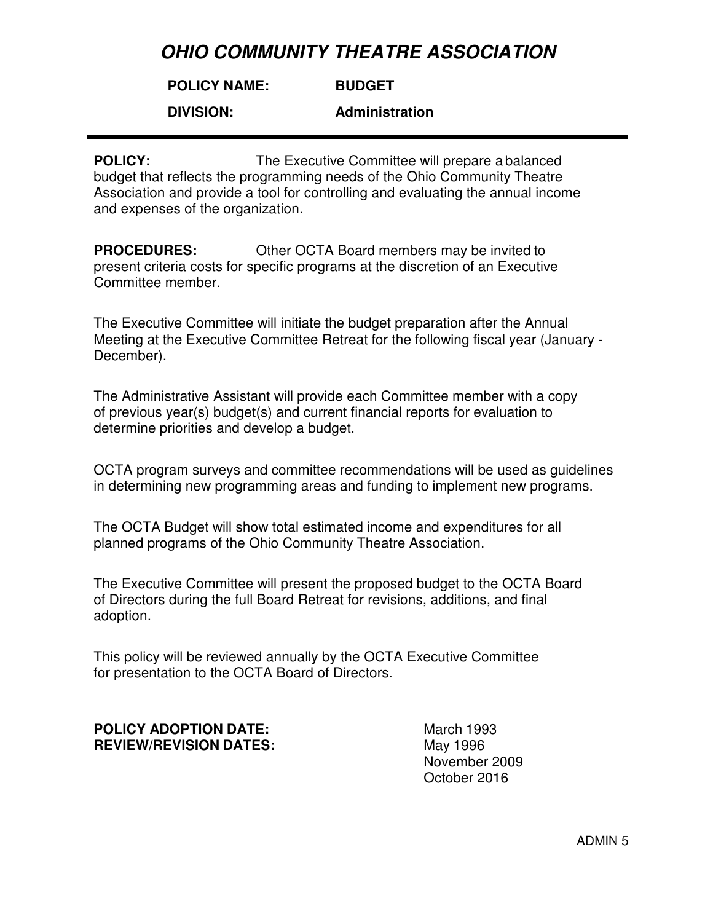#### **POLICY NAME: BUDGET**

**DIVISION:** 

**Administration**

**POLICY:** The Executive Committee will prepare a balanced budget that reflects the programming needs of the Ohio Community Theatre Association and provide a tool for controlling and evaluating the annual income and expenses of the organization.

**PROCEDURES:** Other OCTA Board members may be invited to present criteria costs for specific programs at the discretion of an Executive Committee member.

The Executive Committee will initiate the budget preparation after the Annual Meeting at the Executive Committee Retreat for the following fiscal year (January - December).

The Administrative Assistant will provide each Committee member with a copy of previous year(s) budget(s) and current financial reports for evaluation to determine priorities and develop a budget.

OCTA program surveys and committee recommendations will be used as guidelines in determining new programming areas and funding to implement new programs.

The OCTA Budget will show total estimated income and expenditures for all planned programs of the Ohio Community Theatre Association.

The Executive Committee will present the proposed budget to the OCTA Board of Directors during the full Board Retreat for revisions, additions, and final adoption.

This policy will be reviewed annually by the OCTA Executive Committee for presentation to the OCTA Board of Directors.

## **POLICY ADOPTION DATE:** March 1993 **REVIEW/REVISION DATES:** May 1996

November 2009 October 2016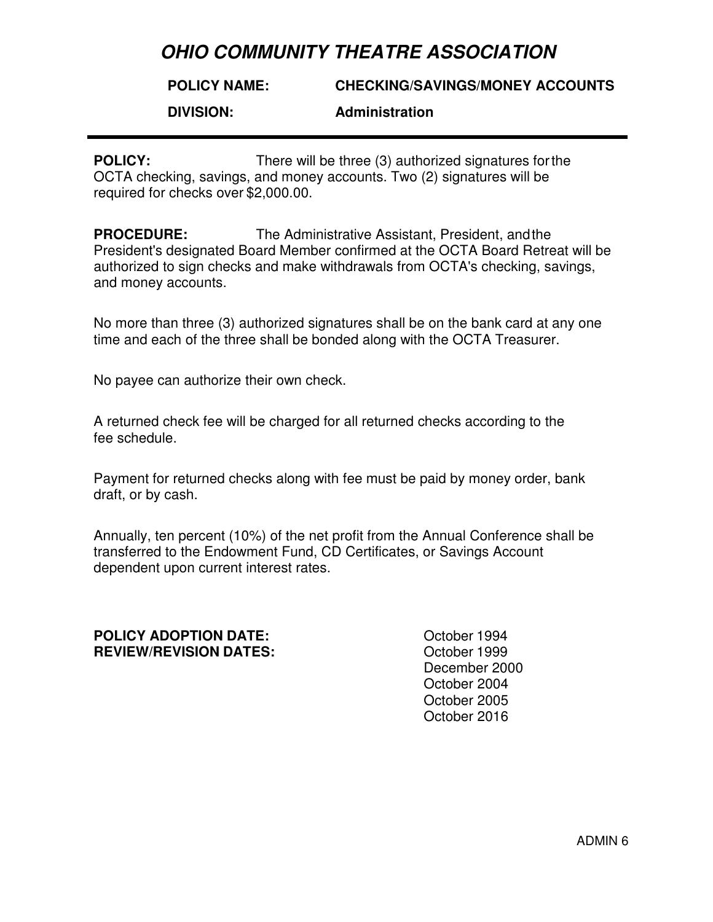#### **POLICY NAME: CHECKING/SAVINGS/MONEY ACCOUNTS**

**DIVISION:** 

### **Administration**

**POLICY:** There will be three (3) authorized signatures for the OCTA checking, savings, and money accounts. Two (2) signatures will be required for checks over \$2,000.00.

**PROCEDURE:** The Administrative Assistant, President, and the President's designated Board Member confirmed at the OCTA Board Retreat will be authorized to sign checks and make withdrawals from OCTA's checking, savings, and money accounts.

No more than three (3) authorized signatures shall be on the bank card at any one time and each of the three shall be bonded along with the OCTA Treasurer.

No payee can authorize their own check.

A returned check fee will be charged for all returned checks according to the fee schedule.

Payment for returned checks along with fee must be paid by money order, bank draft, or by cash.

Annually, ten percent (10%) of the net profit from the Annual Conference shall be transferred to the Endowment Fund, CD Certificates, or Savings Account dependent upon current interest rates.

#### **POLICY ADOPTION DATE:**  $\qquad \qquad$  October 1994 **REVIEW/REVISION DATES:** October 1999

December 2000 October 2004 October 2005 October 2016

ADMIN 6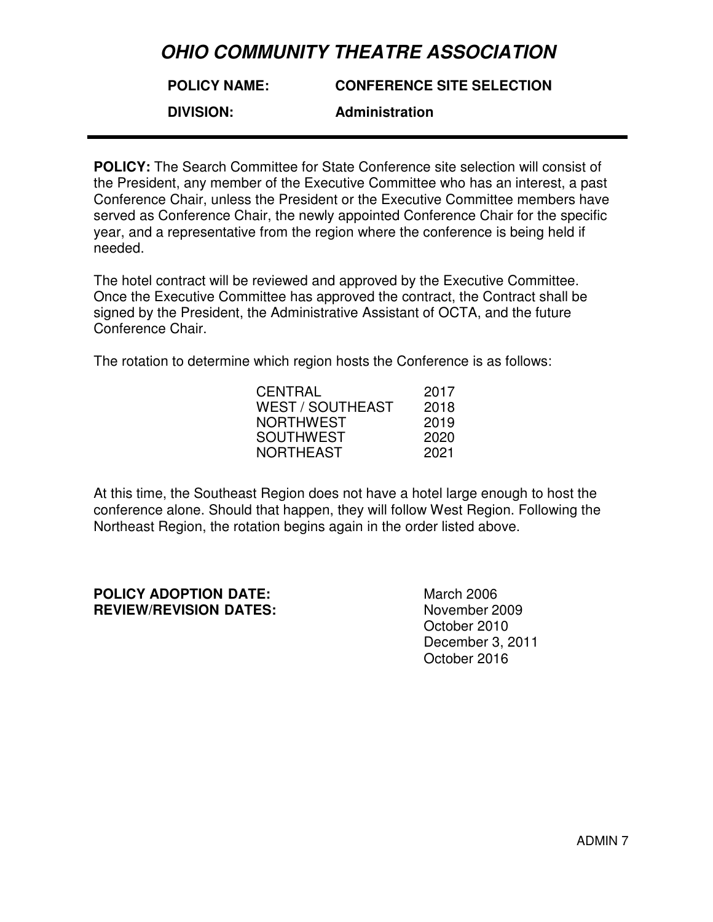#### **POLICY NAME: CONFERENCE SITE SELECTION**

### **DIVISION:**

**Administration** 

**POLICY:** The Search Committee for State Conference site selection will consist of the President, any member of the Executive Committee who has an interest, a past Conference Chair, unless the President or the Executive Committee members have served as Conference Chair, the newly appointed Conference Chair for the specific year, and a representative from the region where the conference is being held if needed.

The hotel contract will be reviewed and approved by the Executive Committee. Once the Executive Committee has approved the contract, the Contract shall be signed by the President, the Administrative Assistant of OCTA, and the future Conference Chair.

The rotation to determine which region hosts the Conference is as follows:

| CENTRAL          | 2017 |
|------------------|------|
| WEST / SOUTHEAST | 2018 |
| NORTHWEST        | 2019 |
| SOUTHWEST        | 2020 |
| NORTHEAST        | 2021 |
|                  |      |

At this time, the Southeast Region does not have a hotel large enough to host the conference alone. Should that happen, they will follow West Region. Following the Northeast Region, the rotation begins again in the order listed above.

### **POLICY ADOPTION DATE:** March 2006 **REVIEW/REVISION DATES:** November 2009

October 2010 December 3, 2011 October 2016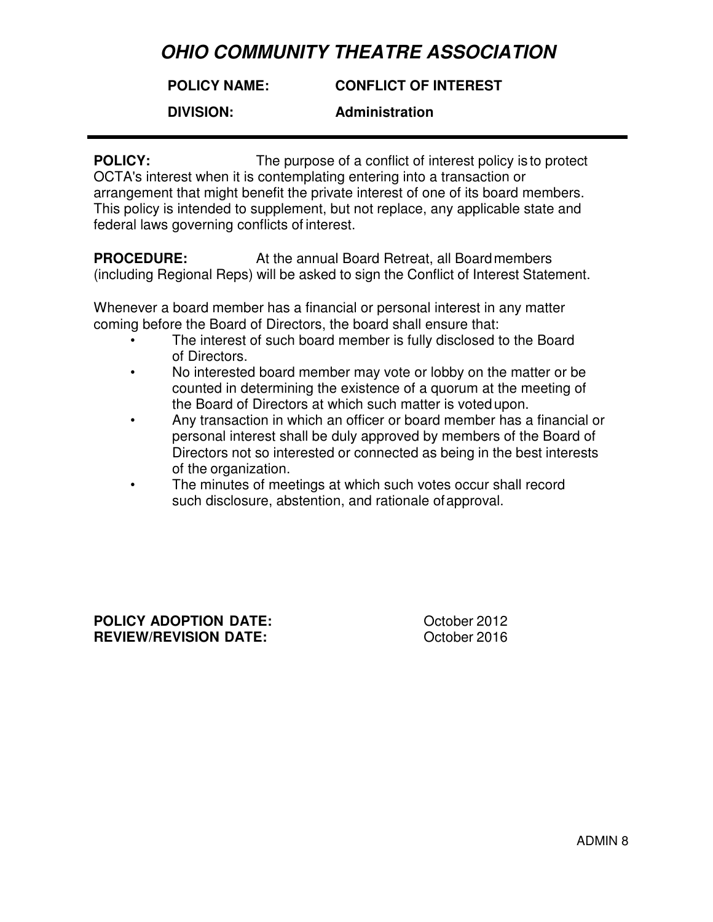#### **POLICY NAME: CONFLICT OF INTEREST**

**DIVISION:** 

### **Administration**

**POLICY:** The purpose of a conflict of interest policy is to protect OCTA's interest when it is contemplating entering into a transaction or arrangement that might benefit the private interest of one of its board members. This policy is intended to supplement, but not replace, any applicable state and federal laws governing conflicts of interest.

**PROCEDURE:** At the annual Board Retreat, all Board members (including Regional Reps) will be asked to sign the Conflict of Interest Statement.

Whenever a board member has a financial or personal interest in any matter coming before the Board of Directors, the board shall ensure that:

- The interest of such board member is fully disclosed to the Board of Directors.
- No interested board member may vote or lobby on the matter or be counted in determining the existence of a quorum at the meeting of the Board of Directors at which such matter is voted upon.
- Any transaction in which an officer or board member has a financial or personal interest shall be duly approved by members of the Board of Directors not so interested or connected as being in the best interests of the organization.
- The minutes of meetings at which such votes occur shall record such disclosure, abstention, and rationale of approval.

**POLICY ADOPTION DATE:**  $\qquad \qquad$  October 2012 **REVIEW/REVISION DATE:** October 2016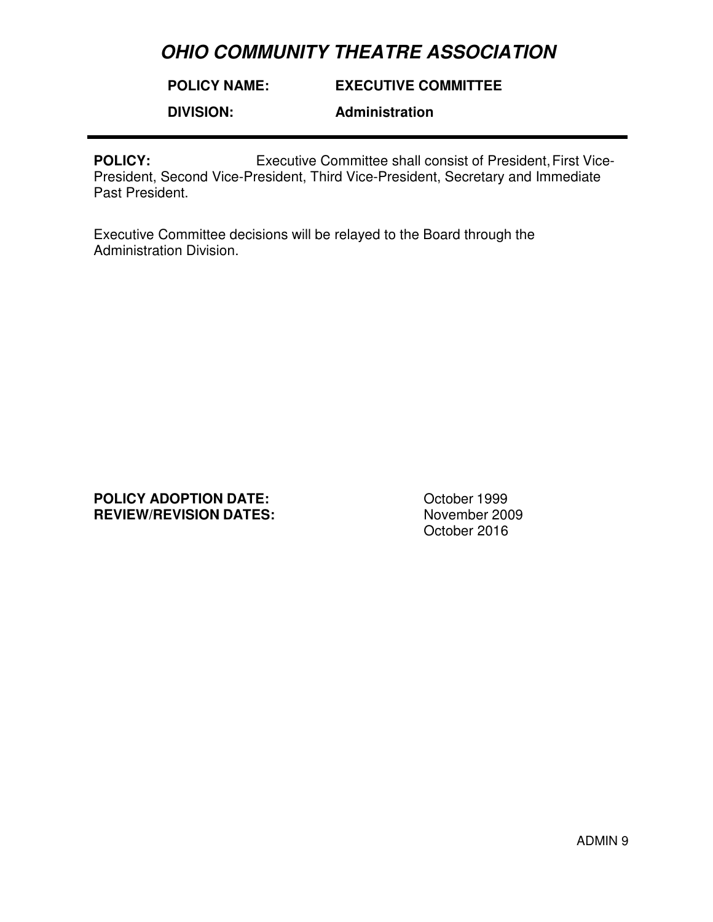**POLICY NAME: EXECUTIVE COMMITTEE**

**DIVISION:** 

**Administration** 

**POLICY:** Executive Committee shall consist of President, First Vice-President, Second Vice-President, Third Vice-President, Secretary and Immediate Past President.

Executive Committee decisions will be relayed to the Board through the Administration Division.

**POLICY ADOPTION DATE:** October 1999 **REVIEW/REVISION DATES:** November 2009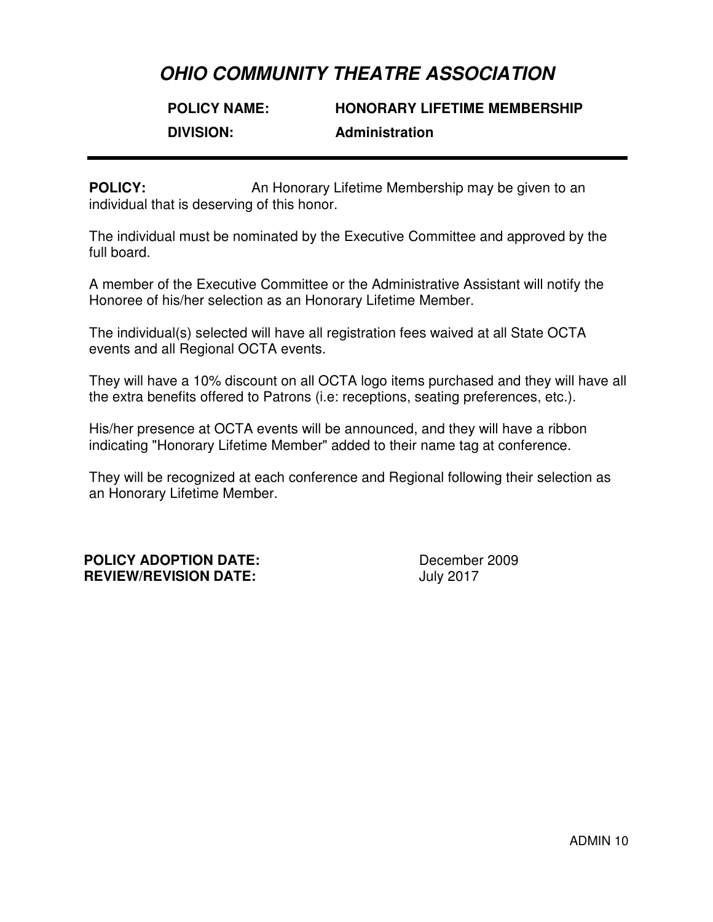# **POLICY NAME: HONORARY LIFETIME MEMBERSHIP DIVISION: Administration**

**POLICY:** An Honorary Lifetime Membership may be given to an individual that is deserving of this honor.

The individual must be nominated by the Executive Committee and approved by the full board.

A member of the Executive Committee or the Administrative Assistant will notify the Honoree of his/her selection as an Honorary Lifetime Member.

The individual(s) selected will have all registration fees waived at all State OCTA events and all Regional OCTA events.

They will have a 10% discount on all OCTA logo items purchased and they will have all the extra benefits offered to Patrons (i.e: receptions, seating preferences, etc.).

His/her presence at OCTA events will be announced, and they will have a ribbon indicating "Honorary Lifetime Member" added to their name tag at conference.

They will be recognized at each conference and Regional following their selection as an Honorary Lifetime Member.

**POLICY ADOPTION DATE:** December 2009 **REVIEW/REVISION DATE:** July 2017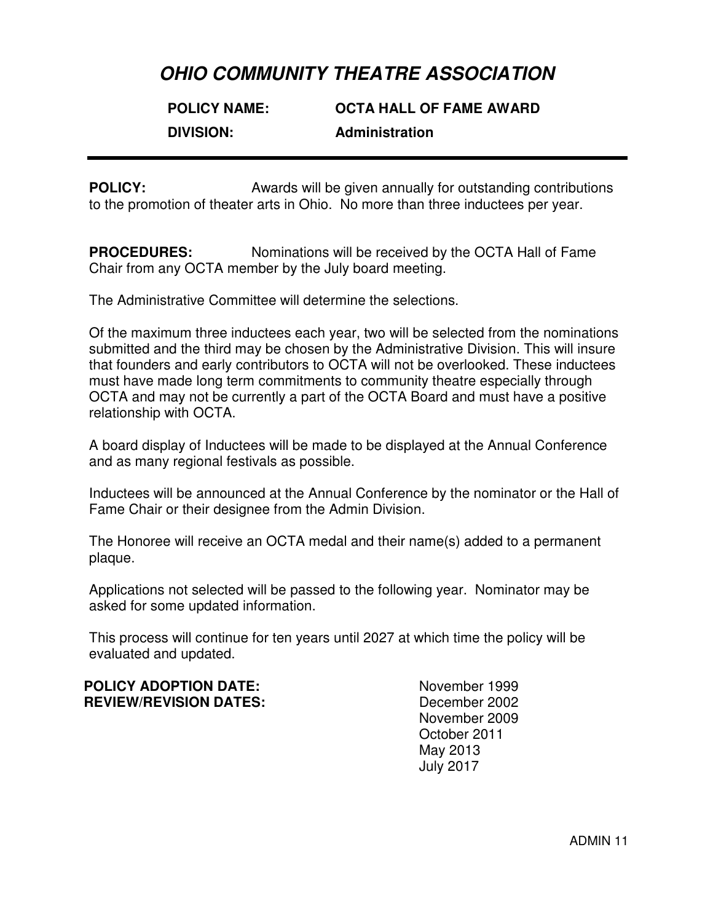# **POLICY NAME: OCTA HALL OF FAME AWARD DIVISION: Administration**

**POLICY:** Awards will be given annually for outstanding contributions to the promotion of theater arts in Ohio. No more than three inductees per year.

**PROCEDURES:** Nominations will be received by the OCTA Hall of Fame Chair from any OCTA member by the July board meeting.

The Administrative Committee will determine the selections.

Of the maximum three inductees each year, two will be selected from the nominations submitted and the third may be chosen by the Administrative Division. This will insure that founders and early contributors to OCTA will not be overlooked. These inductees must have made long term commitments to community theatre especially through OCTA and may not be currently a part of the OCTA Board and must have a positive relationship with OCTA.

A board display of Inductees will be made to be displayed at the Annual Conference and as many regional festivals as possible.

Inductees will be announced at the Annual Conference by the nominator or the Hall of Fame Chair or their designee from the Admin Division.

The Honoree will receive an OCTA medal and their name(s) added to a permanent plaque.

Applications not selected will be passed to the following year. Nominator may be asked for some updated information.

This process will continue for ten years until 2027 at which time the policy will be evaluated and updated.

**POLICY ADOPTION DATE:** November 1999 **REVIEW/REVISION DATES:** December 2002

November 2009 October 2011 May 2013 July 2017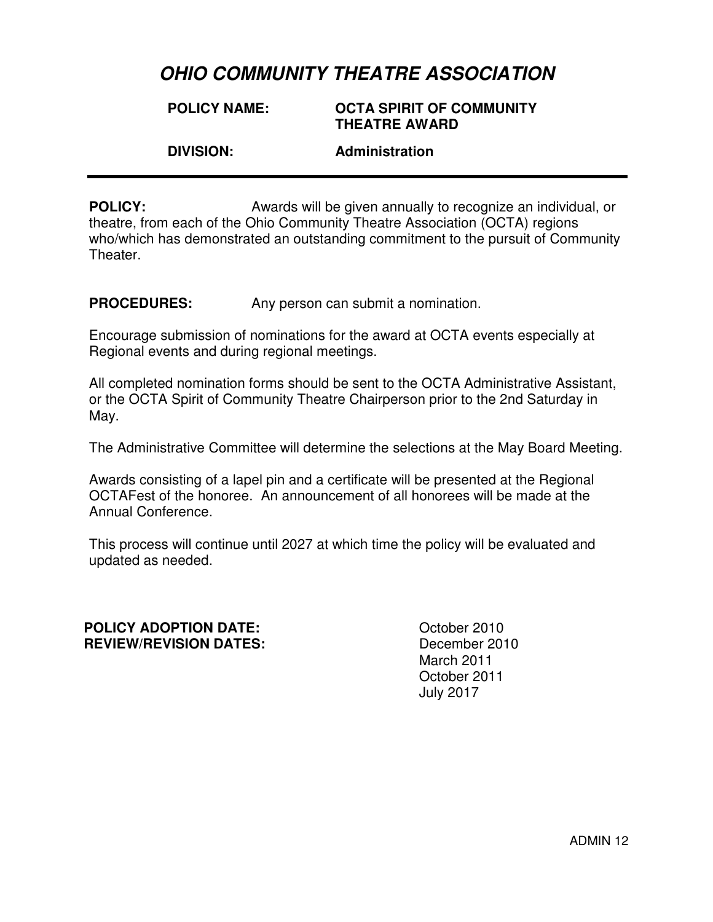**POLICY NAME: OCTA SPIRIT OF COMMUNITY THEATRE AWARD DIVISION: Administration**

**POLICY:** Awards will be given annually to recognize an individual, or theatre, from each of the Ohio Community Theatre Association (OCTA) regions who/which has demonstrated an outstanding commitment to the pursuit of Community Theater.

**PROCEDURES:** Any person can submit a nomination.

Encourage submission of nominations for the award at OCTA events especially at Regional events and during regional meetings.

All completed nomination forms should be sent to the OCTA Administrative Assistant, or the OCTA Spirit of Community Theatre Chairperson prior to the 2nd Saturday in May.

The Administrative Committee will determine the selections at the May Board Meeting.

Awards consisting of a lapel pin and a certificate will be presented at the Regional OCTAFest of the honoree. An announcement of all honorees will be made at the Annual Conference.

This process will continue until 2027 at which time the policy will be evaluated and updated as needed.

#### **POLICY ADOPTION DATE:** October 2010 **REVIEW/REVISION DATES:** December 2010

 March 2011 October 2011 July 2017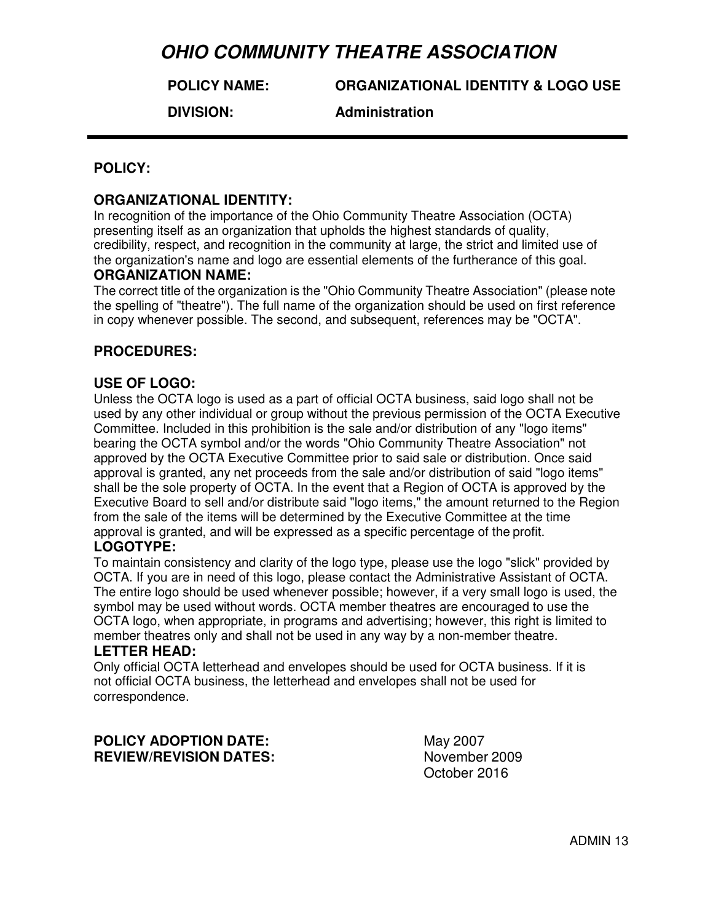**POLICY NAME:**

**ORGANIZATIONAL IDENTITY & LOGO USE**

**DIVISION:** 

**Administration** 

## **POLICY:**

### **ORGANIZATIONAL IDENTITY:**

In recognition of the importance of the Ohio Community Theatre Association (OCTA) presenting itself as an organization that upholds the highest standards of quality, credibility, respect, and recognition in the community at large, the strict and limited use of the organization's name and logo are essential elements of the furtherance of this goal.

### **ORGANIZATION NAME:**

The correct title of the organization is the "Ohio Community Theatre Association" (please note the spelling of "theatre"). The full name of the organization should be used on first reference in copy whenever possible. The second, and subsequent, references may be "OCTA".

### **PROCEDURES:**

### **USE OF LOGO:**

Unless the OCTA logo is used as a part of official OCTA business, said logo shall not be used by any other individual or group without the previous permission of the OCTA Executive Committee. Included in this prohibition is the sale and/or distribution of any "logo items" bearing the OCTA symbol and/or the words "Ohio Community Theatre Association" not approved by the OCTA Executive Committee prior to said sale or distribution. Once said approval is granted, any net proceeds from the sale and/or distribution of said "logo items" shall be the sole property of OCTA. In the event that a Region of OCTA is approved by the Executive Board to sell and/or distribute said "logo items," the amount returned to the Region from the sale of the items will be determined by the Executive Committee at the time approval is granted, and will be expressed as a specific percentage of the profit. **LOGOTYPE:** 

### To maintain consistency and clarity of the logo type, please use the logo "slick" provided by OCTA. If you are in need of this logo, please contact the Administrative Assistant of OCTA. The entire logo should be used whenever possible; however, if a very small logo is used, the symbol may be used without words. OCTA member theatres are encouraged to use the OCTA logo, when appropriate, in programs and advertising; however, this right is limited to member theatres only and shall not be used in any way by a non-member theatre.

#### **LETTER HEAD:**

Only official OCTA letterhead and envelopes should be used for OCTA business. If it is not official OCTA business, the letterhead and envelopes shall not be used for correspondence.

**POLICY ADOPTION DATE:** May 2007 **REVIEW/REVISION DATES:** November 2009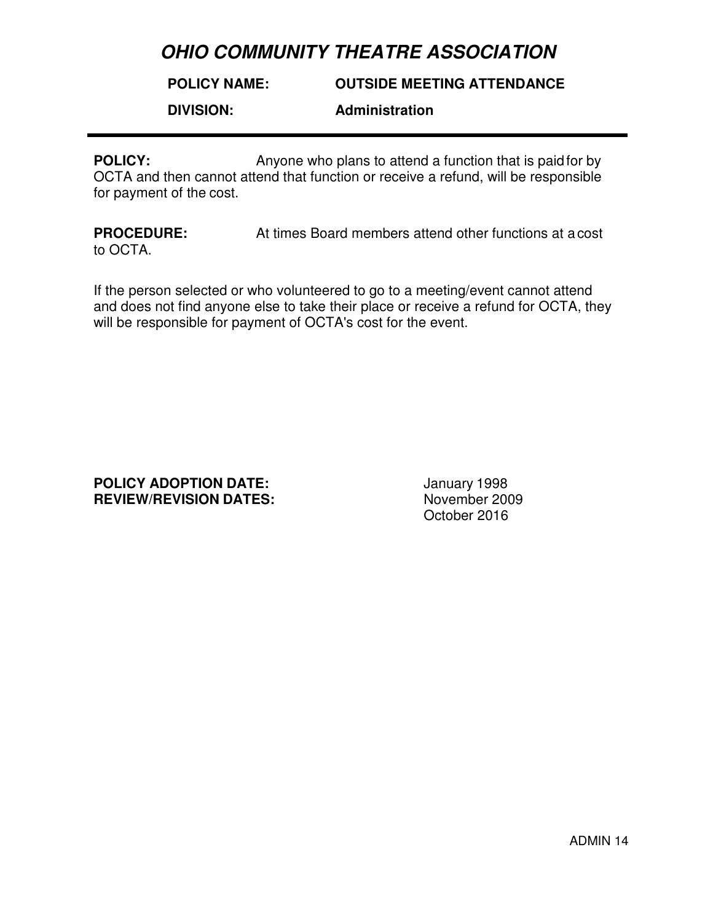**POLICY NAME:**

**OUTSIDE MEETING ATTENDANCE**

**DIVISION:** 

**Administration** 

**POLICY:** Anyone who plans to attend a function that is paid for by OCTA and then cannot attend that function or receive a refund, will be responsible for payment of the cost.

**PROCEDURE:** At times Board members attend other functions at a cost to OCTA.

If the person selected or who volunteered to go to a meeting/event cannot attend and does not find anyone else to take their place or receive a refund for OCTA, they will be responsible for payment of OCTA's cost for the event.

**POLICY ADOPTION DATE:** January 1998 **REVIEW/REVISION DATES:** November 2009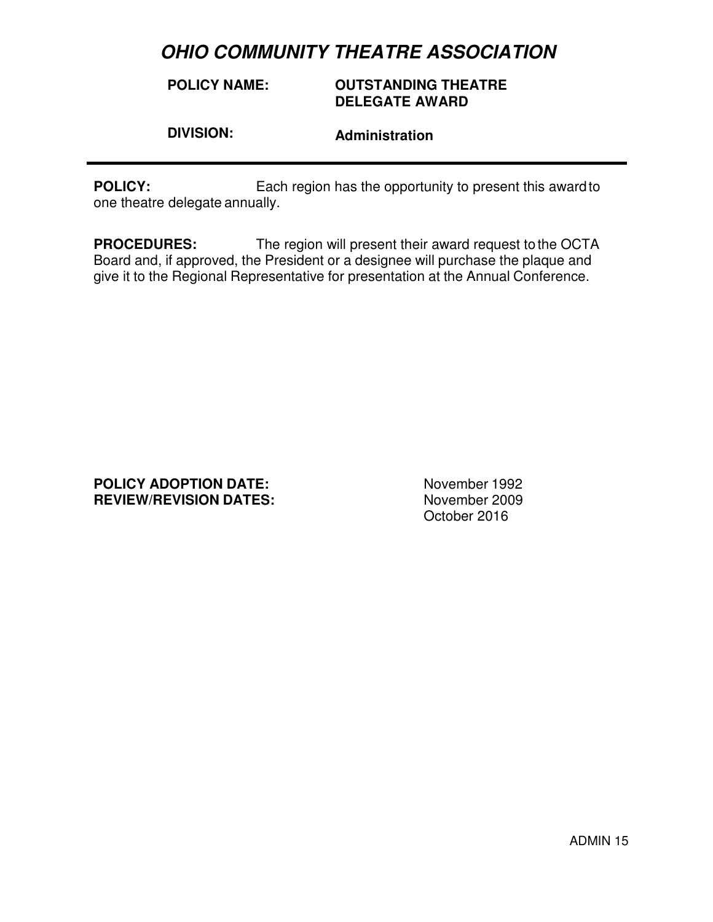**POLICY NAME:**

## **OUTSTANDING THEATRE DELEGATE AWARD**

**DIVISION:** 

**Administration** 

**POLICY:** Each region has the opportunity to present this award to one theatre delegate annually.

**PROCEDURES:** The region will present their award request to the OCTA Board and, if approved, the President or a designee will purchase the plaque and give it to the Regional Representative for presentation at the Annual Conference.

### **POLICY ADOPTION DATE:** November 1992<br> **REVIEW/REVISION DATES:** November 2009 **REVIEW/REVISION DATES:**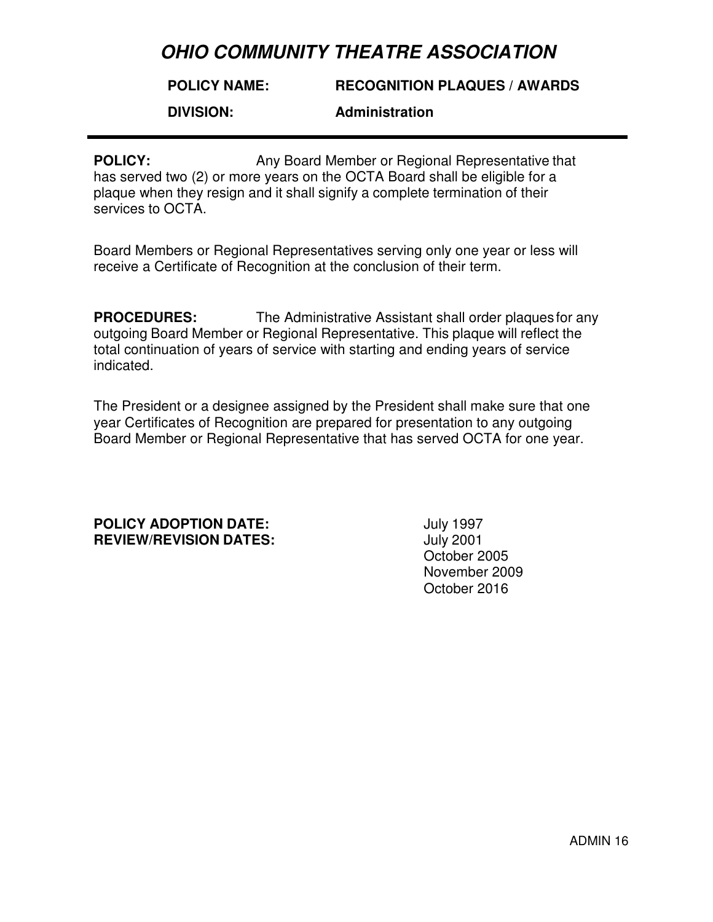#### **POLICY NAME: RECOGNITION PLAQUES / AWARDS**

**DIVISION:** 

### **Administration**

**POLICY:** Any Board Member or Regional Representative that has served two (2) or more years on the OCTA Board shall be eligible for a plaque when they resign and it shall signify a complete termination of their services to OCTA.

Board Members or Regional Representatives serving only one year or less will receive a Certificate of Recognition at the conclusion of their term.

**PROCEDURES:** The Administrative Assistant shall order plaques for any outgoing Board Member or Regional Representative. This plaque will reflect the total continuation of years of service with starting and ending years of service indicated.

The President or a designee assigned by the President shall make sure that one year Certificates of Recognition are prepared for presentation to any outgoing Board Member or Regional Representative that has served OCTA for one year.

### **POLICY ADOPTION DATE:** July 1997 **REVIEW/REVISION DATES:** July 2001

October 2005 November 2009 October 2016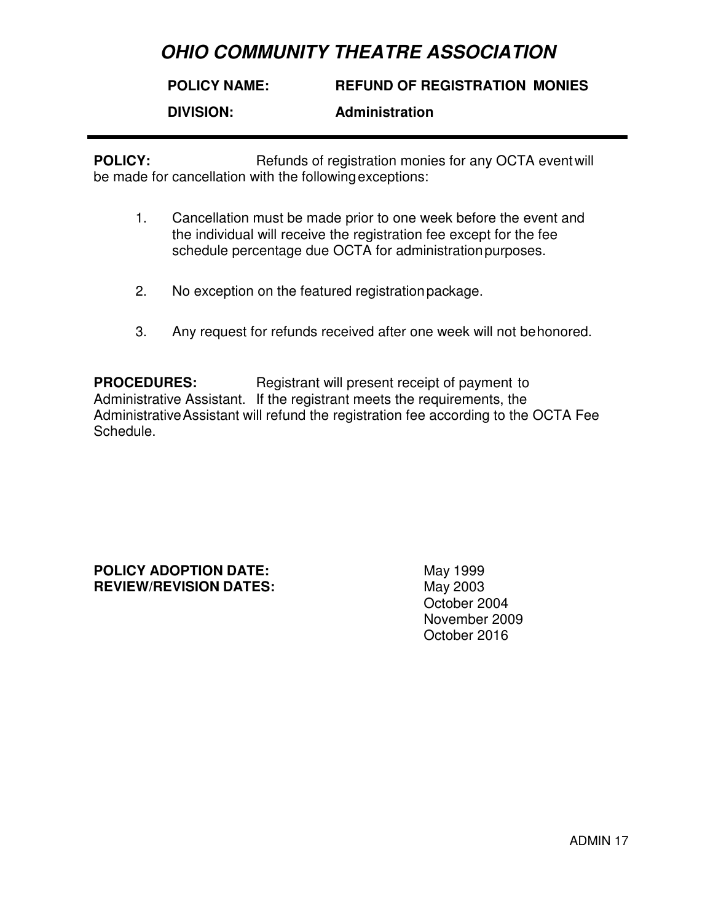#### **POLICY NAME: DIVISION: REFUND OF REGISTRATION MONIES Administration**

**POLICY:** Refunds of registration monies for any OCTA event will be made for cancellation with the following exceptions:

- 1. Cancellation must be made prior to one week before the event and the individual will receive the registration fee except for the fee schedule percentage due OCTA for administration purposes.
- 2. No exception on the featured registration package.
- 3. Any request for refunds received after one week will not be honored.

**PROCEDURES:** Registrant will present receipt of payment to Administrative Assistant. If the registrant meets the requirements, the Administrative Assistant will refund the registration fee according to the OCTA Fee Schedule.

**POLICY ADOPTION DATE:** May 1999 **REVIEW/REVISION DATES:** May 2003

October 2004 November 2009 October 2016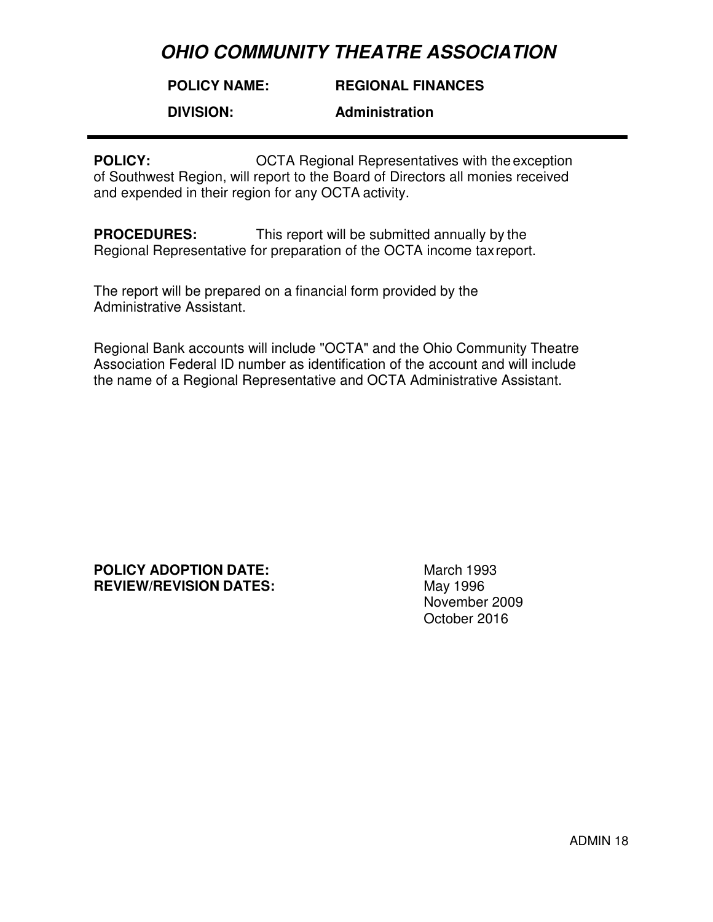#### **POLICY NAME: REGIONAL FINANCES**

**DIVISION:** 

**Administration** 

**POLICY: COLICY: OCTA Regional Representatives with the exception** of Southwest Region, will report to the Board of Directors all monies received and expended in their region for any OCTA activity.

**PROCEDURES:** This report will be submitted annually by the Regional Representative for preparation of the OCTA income tax report.

The report will be prepared on a financial form provided by the Administrative Assistant.

Regional Bank accounts will include "OCTA" and the Ohio Community Theatre Association Federal ID number as identification of the account and will include the name of a Regional Representative and OCTA Administrative Assistant.

**POLICY ADOPTION DATE:** March 1993 **REVIEW/REVISION DATES:** May 1996

November 2009 October 2016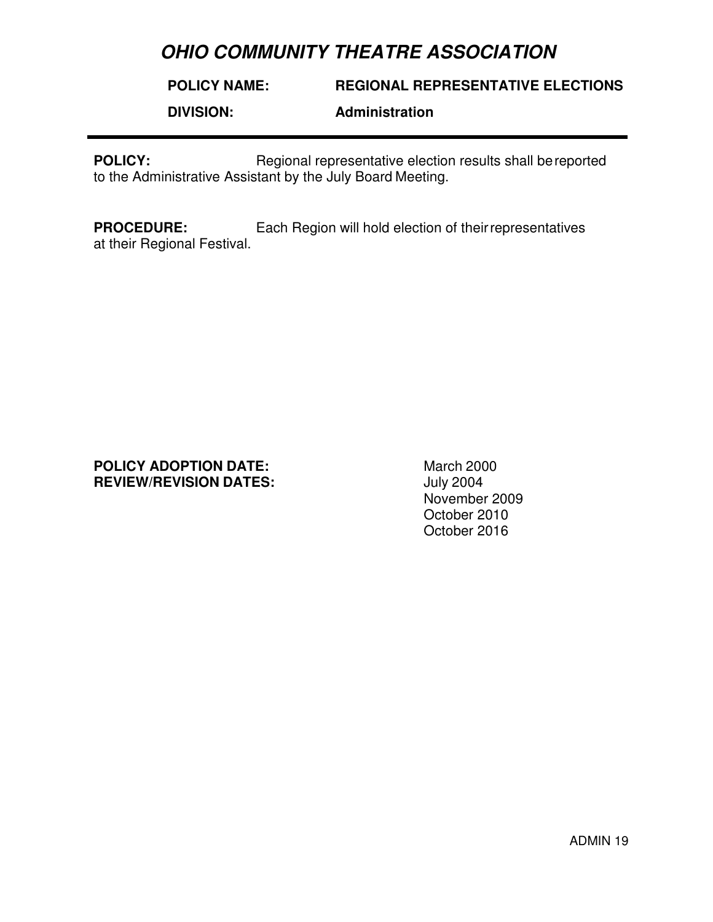**POLICY NAME: DIVISION: REGIONAL REPRESENTATIVE ELECTIONS Administration** 

**POLICY:** Regional representative election results shall be reported to the Administrative Assistant by the July Board Meeting.

**PROCEDURE:** Each Region will hold election of their representatives at their Regional Festival.

### **POLICY ADOPTION DATE:** March 2000<br> **REVIEW/REVISION DATES:** July 2004 **REVIEW/REVISION DATES:**

November 2009 October 2010 October 2016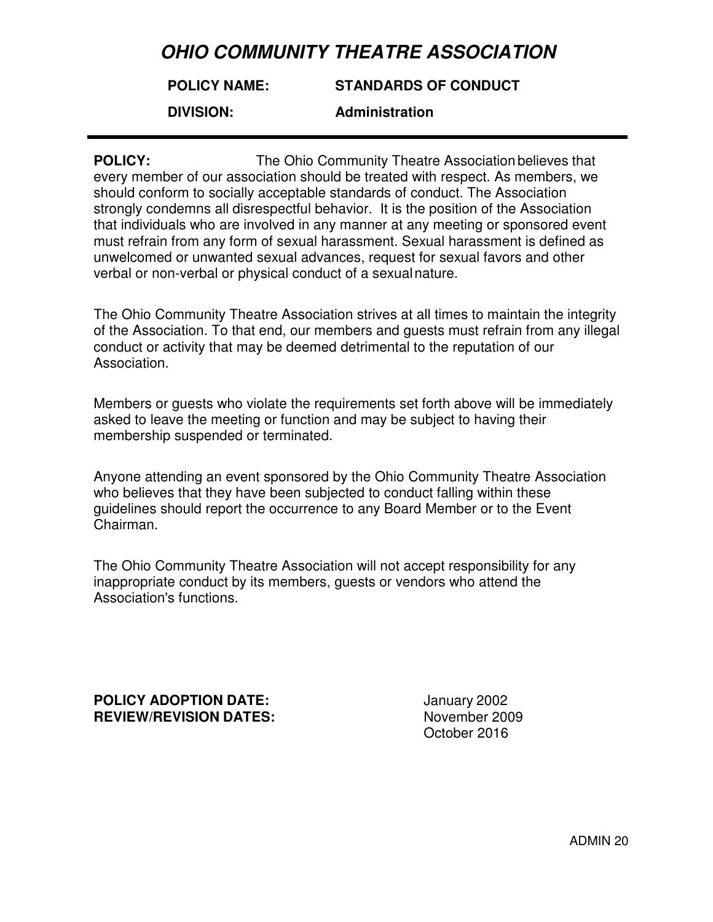### **POLICY NAME: STANDARDS OF CONDUCT**

**DIVISION:** 

**Administration** 

**POLICY:** The Ohio Community Theatre Association believes that every member of our association should be treated with respect. As members, we should conform to socially acceptable standards of conduct. The Association strongly condemns all disrespectful behavior. It is the position of the Association that individuals who are involved in any manner at any meeting or sponsored event must refrain from any form of sexual harassment. Sexual harassment is defined as unwelcomed or unwanted sexual advances, request for sexual favors and other verbal or non-verbal or physical conduct of a sexual nature.

The Ohio Community Theatre Association strives at all times to maintain the integrity of the Association. To that end, our members and guests must refrain from any illegal conduct or activity that may be deemed detrimental to the reputation of our Association.

Members or guests who violate the requirements set forth above will be immediately asked to leave the meeting or function and may be subject to having their membership suspended or terminated.

Anyone attending an event sponsored by the Ohio Community Theatre Association who believes that they have been subjected to conduct falling within these guidelines should report the occurrence to any Board Member or to the Event Chairman.

The Ohio Community Theatre Association will not accept responsibility for any inappropriate conduct by its members, guests or vendors who attend the Association's functions.

**POLICY ADOPTION DATE:** January 2002 **REVIEW/REVISION DATES:** November 2009

October 2016

ADMIN 20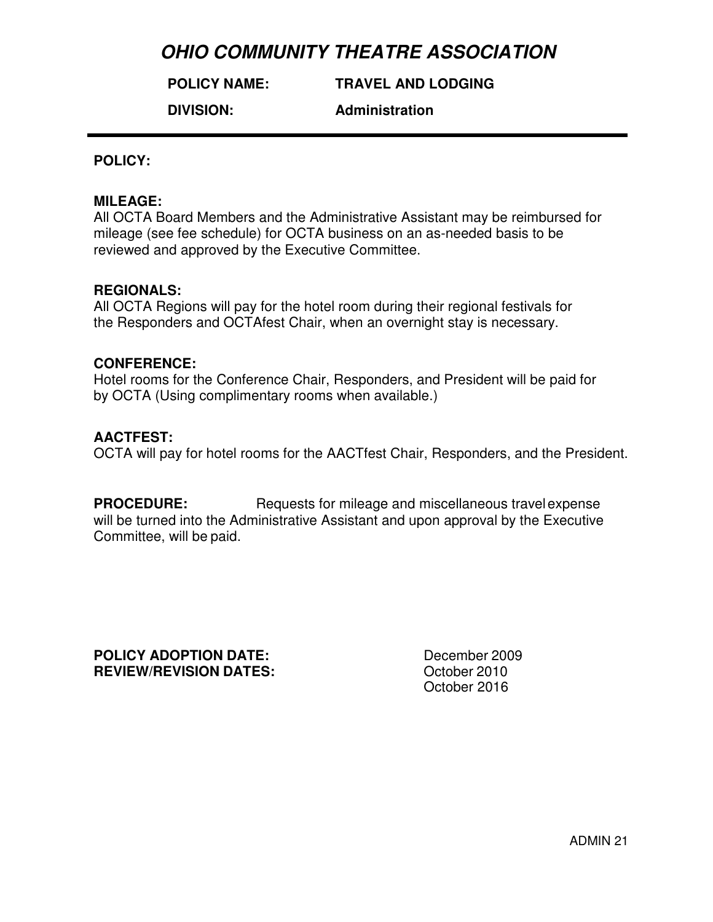**POLICY NAME:**

**TRAVEL AND LODGING**

**DIVISION:** 

**Administration** 

### **POLICY:**

### **MILEAGE:**

All OCTA Board Members and the Administrative Assistant may be reimbursed for mileage (see fee schedule) for OCTA business on an as-needed basis to be reviewed and approved by the Executive Committee.

### **REGIONALS:**

All OCTA Regions will pay for the hotel room during their regional festivals for the Responders and OCTAfest Chair, when an overnight stay is necessary.

### **CONFERENCE:**

Hotel rooms for the Conference Chair, Responders, and President will be paid for by OCTA (Using complimentary rooms when available.)

## **AACTFEST:**

OCTA will pay for hotel rooms for the AACTfest Chair, Responders, and the President.

**PROCEDURE:** Requests for mileage and miscellaneous travel expense will be turned into the Administrative Assistant and upon approval by the Executive Committee, will be paid.

**POLICY ADOPTION DATE:** December 2009 **REVIEW/REVISION DATES:** October 2010